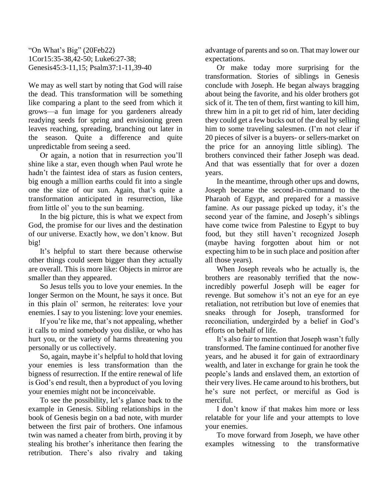"On What's Big" (20Feb22) 1Cor15:35-38,42-50; Luke6:27-38; Genesis45:3-11,15; Psalm37:1-11,39-40

We may as well start by noting that God will raise the dead. This transformation will be something like comparing a plant to the seed from which it grows—a fun image for you gardeners already readying seeds for spring and envisioning green leaves reaching, spreading, branching out later in the season. Quite a difference and quite unpredictable from seeing a seed.

Or again, a notion that in resurrection you'll shine like a star, even though when Paul wrote he hadn't the faintest idea of stars as fusion centers, big enough a million earths could fit into a single one the size of our sun. Again, that's quite a transformation anticipated in resurrection, like from little ol' you to the sun beaming.

In the big picture, this is what we expect from God, the promise for our lives and the destination of our universe. Exactly how, we don't know. But big!

It's helpful to start there because otherwise other things could seem bigger than they actually are overall. This is more like: Objects in mirror are smaller than they appeared.

So Jesus tells you to love your enemies. In the longer Sermon on the Mount, he says it once. But in this plain ol' sermon, he reiterates: love your enemies. I say to you listening: love your enemies.

If you're like me, that's not appealing, whether it calls to mind somebody you dislike, or who has hurt you, or the variety of harms threatening you personally or us collectively.

So, again, maybe it's helpful to hold that loving your enemies is less transformation than the bigness of resurrection. If the entire renewal of life is God's end result, then a byproduct of you loving your enemies might not be inconceivable.

To see the possibility, let's glance back to the example in Genesis. Sibling relationships in the book of Genesis begin on a bad note, with murder between the first pair of brothers. One infamous twin was named a cheater from birth, proving it by stealing his brother's inheritance then fearing the retribution. There's also rivalry and taking advantage of parents and so on. That may lower our expectations.

Or make today more surprising for the transformation. Stories of siblings in Genesis conclude with Joseph. He began always bragging about being the favorite, and his older brothers got sick of it. The ten of them, first wanting to kill him, threw him in a pit to get rid of him, later deciding they could get a few bucks out of the deal by selling him to some traveling salesmen. (I'm not clear if 20 pieces of silver is a buyers- or sellers-market on the price for an annoying little sibling). The brothers convinced their father Joseph was dead. And that was essentially that for over a dozen years.

In the meantime, through other ups and downs, Joseph became the second-in-command to the Pharaoh of Egypt, and prepared for a massive famine. As our passage picked up today, it's the second year of the famine, and Joseph's siblings have come twice from Palestine to Egypt to buy food, but they still haven't recognized Joseph (maybe having forgotten about him or not expecting him to be in such place and position after all those years).

When Joseph reveals who he actually is, the brothers are reasonably terrified that the nowincredibly powerful Joseph will be eager for revenge. But somehow it's not an eye for an eye retaliation, not retribution but love of enemies that sneaks through for Joseph, transformed for reconciliation, undergirded by a belief in God's efforts on behalf of life.

It's also fair to mention that Joseph wasn't fully transformed. The famine continued for another five years, and he abused it for gain of extraordinary wealth, and later in exchange for grain he took the people's lands and enslaved them, an extortion of their very lives. He came around to his brothers, but he's sure not perfect, or merciful as God is merciful.

I don't know if that makes him more or less relatable for your life and your attempts to love your enemies.

To move forward from Joseph, we have other examples witnessing to the transformative